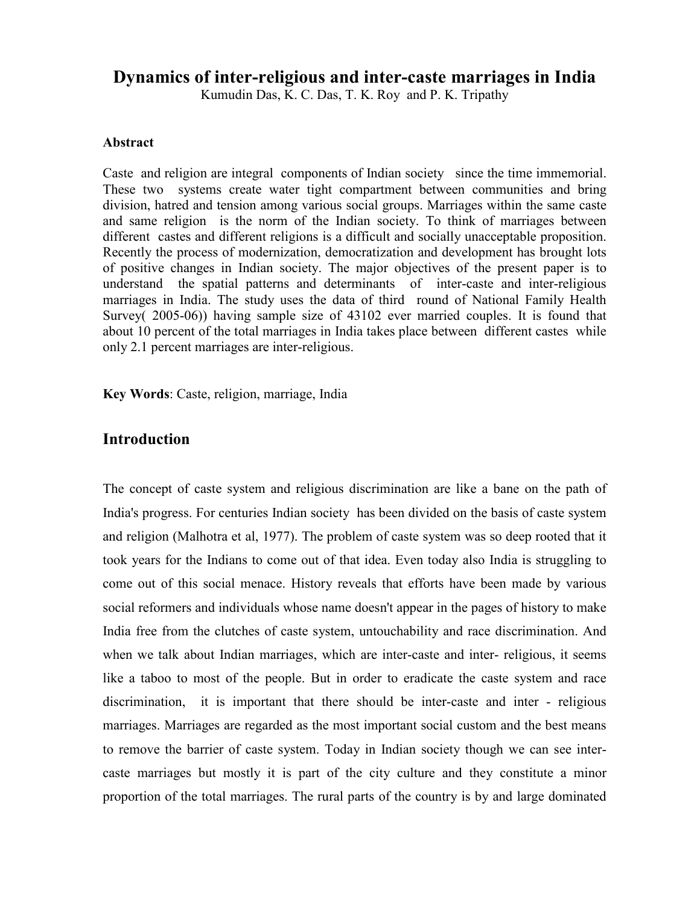# **Dynamics of inter-religious and inter-caste marriages in India**

Kumudin Das, K. C. Das, T. K. Roy and P. K. Tripathy

#### **Abstract**

Caste and religion are integral components of Indian society since the time immemorial. These two systems create water tight compartment between communities and bring division, hatred and tension among various social groups. Marriages within the same caste and same religion is the norm of the Indian society. To think of marriages between different castes and different religions is a difficult and socially unacceptable proposition. Recently the process of modernization, democratization and development has brought lots of positive changes in Indian society. The major objectives of the present paper is to understand the spatial patterns and determinants of inter-caste and inter-religious marriages in India. The study uses the data of third round of National Family Health Survey( 2005-06)) having sample size of 43102 ever married couples. It is found that about 10 percent of the total marriages in India takes place between different castes while only 2.1 percent marriages are inter-religious.

**Key Words**: Caste, religion, marriage, India

### **Introduction**

The concept of caste system and religious discrimination are like a bane on the path of India's progress. For centuries Indian society has been divided on the basis of caste system and religion (Malhotra et al, 1977). The problem of caste system was so deep rooted that it took years for the Indians to come out of that idea. Even today also India is struggling to come out of this social menace. History reveals that efforts have been made by various social reformers and individuals whose name doesn't appear in the pages of history to make India free from the clutches of caste system, untouchability and race discrimination. And when we talk about Indian marriages, which are inter-caste and inter- religious, it seems like a taboo to most of the people. But in order to eradicate the caste system and race discrimination, it is important that there should be inter-caste and inter - religious marriages. Marriages are regarded as the most important social custom and the best means to remove the barrier of caste system. Today in Indian society though we can see intercaste marriages but mostly it is part of the city culture and they constitute a minor proportion of the total marriages. The rural parts of the country is by and large dominated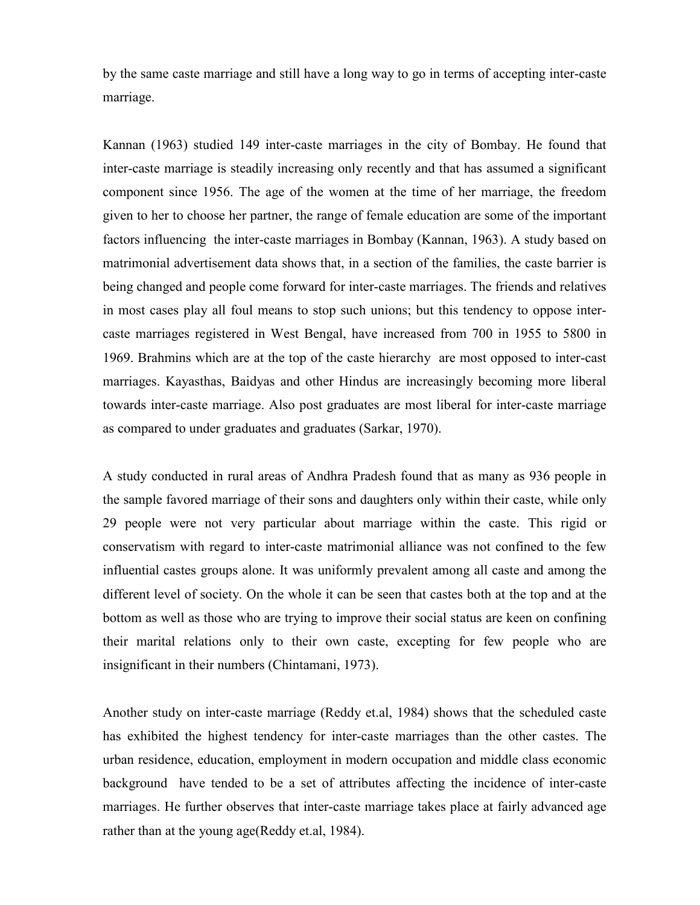by the same caste marriage and still have a long way to go in terms of accepting inter-caste marriage.

Kannan (1963) studied 149 inter-caste marriages in the city of Bombay. He found that inter-caste marriage is steadily increasing only recently and that has assumed a significant component since 1956. The age of the women at the time of her marriage, the freedom given to her to choose her partner, the range of female education are some of the important factors influencing the inter-caste marriages in Bombay (Kannan, 1963). A study based on matrimonial advertisement data shows that, in a section of the families, the caste barrier is being changed and people come forward for inter-caste marriages. The friends and relatives in most cases play all foul means to stop such unions; but this tendency to oppose intercaste marriages registered in West Bengal, have increased from 700 in 1955 to 5800 in 1969. Brahmins which are at the top of the caste hierarchy are most opposed to inter-cast marriages. Kayasthas, Baidyas and other Hindus are increasingly becoming more liberal towards inter-caste marriage. Also post graduates are most liberal for inter-caste marriage as compared to under graduates and graduates (Sarkar, 1970).

A study conducted in rural areas of Andhra Pradesh found that as many as 936 people in the sample favored marriage of their sons and daughters only within their caste, while only 29 people were not very particular about marriage within the caste. This rigid or conservatism with regard to inter-caste matrimonial alliance was not confined to the few influential castes groups alone. It was uniformly prevalent among all caste and among the different level of society. On the whole it can be seen that castes both at the top and at the bottom as well as those who are trying to improve their social status are keen on confining their marital relations only to their own caste, excepting for few people who are insignificant in their numbers (Chintamani, 1973).

Another study on inter-caste marriage (Reddy et.al, 1984) shows that the scheduled caste has exhibited the highest tendency for inter-caste marriages than the other castes. The urban residence, education, employment in modern occupation and middle class economic background have tended to be a set of attributes affecting the incidence of inter-caste marriages. He further observes that inter-caste marriage takes place at fairly advanced age rather than at the young age(Reddy et.al, 1984).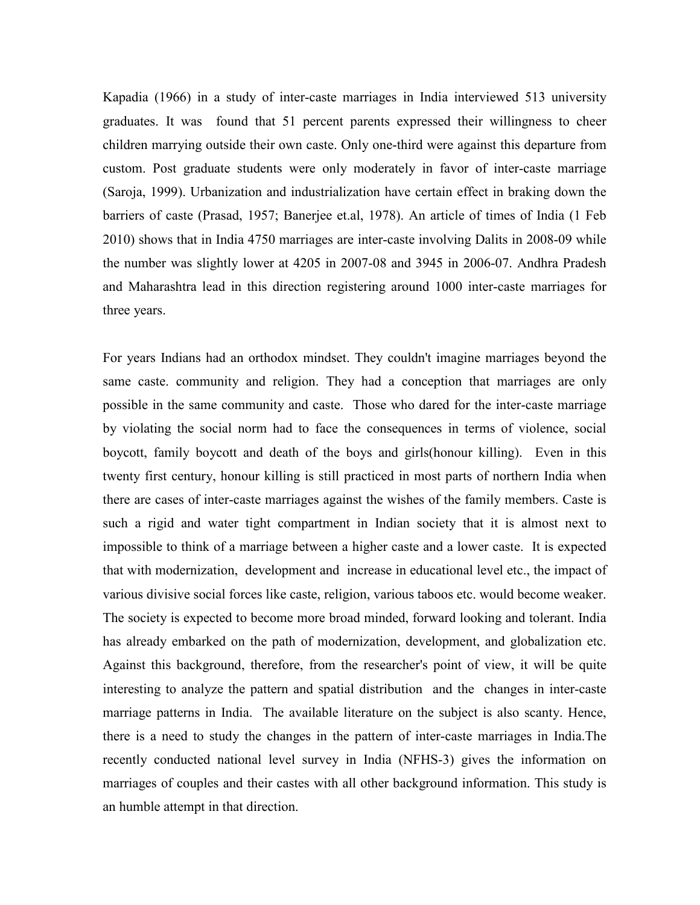Kapadia (1966) in a study of inter-caste marriages in India interviewed 513 university graduates. It was found that 51 percent parents expressed their willingness to cheer children marrying outside their own caste. Only one-third were against this departure from custom. Post graduate students were only moderately in favor of inter-caste marriage (Saroja, 1999). Urbanization and industrialization have certain effect in braking down the barriers of caste (Prasad, 1957; Banerjee et.al, 1978). An article of times of India (1 Feb 2010) shows that in India 4750 marriages are inter-caste involving Dalits in 2008-09 while the number was slightly lower at 4205 in 2007-08 and 3945 in 2006-07. Andhra Pradesh and Maharashtra lead in this direction registering around 1000 inter-caste marriages for three years.

For years Indians had an orthodox mindset. They couldn't imagine marriages beyond the same caste. community and religion. They had a conception that marriages are only possible in the same community and caste. Those who dared for the inter-caste marriage by violating the social norm had to face the consequences in terms of violence, social boycott, family boycott and death of the boys and girls(honour killing). Even in this twenty first century, honour killing is still practiced in most parts of northern India when there are cases of inter-caste marriages against the wishes of the family members. Caste is such a rigid and water tight compartment in Indian society that it is almost next to impossible to think of a marriage between a higher caste and a lower caste. It is expected that with modernization, development and increase in educational level etc., the impact of various divisive social forces like caste, religion, various taboos etc. would become weaker. The society is expected to become more broad minded, forward looking and tolerant. India has already embarked on the path of modernization, development, and globalization etc. Against this background, therefore, from the researcher's point of view, it will be quite interesting to analyze the pattern and spatial distribution and the changes in inter-caste marriage patterns in India. The available literature on the subject is also scanty. Hence, there is a need to study the changes in the pattern of inter-caste marriages in India.The recently conducted national level survey in India (NFHS-3) gives the information on marriages of couples and their castes with all other background information. This study is an humble attempt in that direction.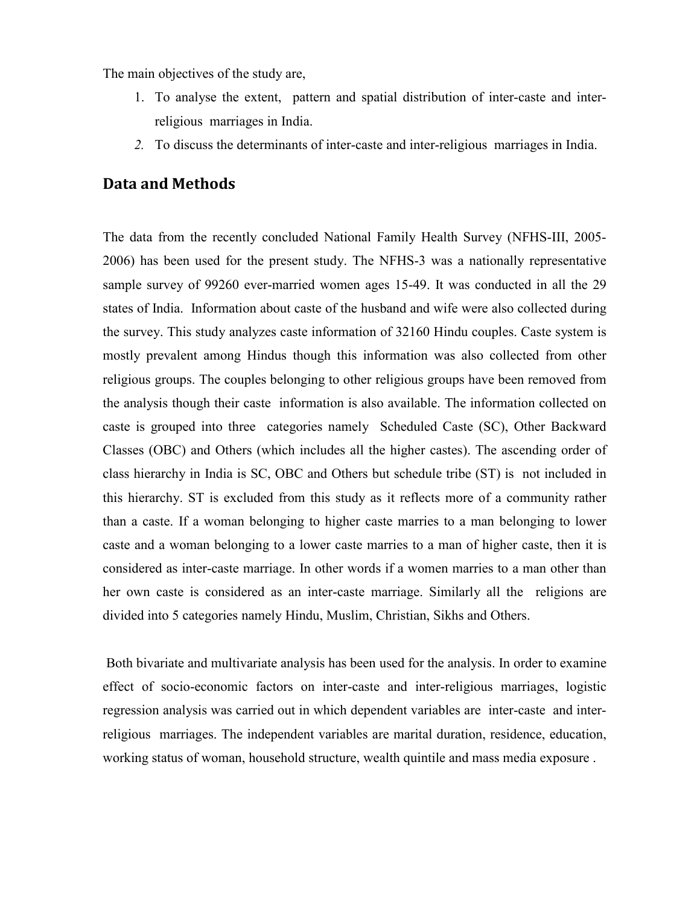The main objectives of the study are,

- 1. To analyse the extent, pattern and spatial distribution of inter-caste and interreligious marriages in India.
- *2.* To discuss the determinants of inter-caste and inter-religious marriages in India.

## **Data and Methods**

The data from the recently concluded National Family Health Survey (NFHS-III, 2005- 2006) has been used for the present study. The NFHS-3 was a nationally representative sample survey of 99260 ever-married women ages 15-49. It was conducted in all the 29 states of India. Information about caste of the husband and wife were also collected during the survey. This study analyzes caste information of 32160 Hindu couples. Caste system is mostly prevalent among Hindus though this information was also collected from other religious groups. The couples belonging to other religious groups have been removed from the analysis though their caste information is also available. The information collected on caste is grouped into three categories namely Scheduled Caste (SC), Other Backward Classes (OBC) and Others (which includes all the higher castes). The ascending order of class hierarchy in India is SC, OBC and Others but schedule tribe (ST) is not included in this hierarchy. ST is excluded from this study as it reflects more of a community rather than a caste. If a woman belonging to higher caste marries to a man belonging to lower caste and a woman belonging to a lower caste marries to a man of higher caste, then it is considered as inter-caste marriage. In other words if a women marries to a man other than her own caste is considered as an inter-caste marriage. Similarly all the religions are divided into 5 categories namely Hindu, Muslim, Christian, Sikhs and Others.

 Both bivariate and multivariate analysis has been used for the analysis. In order to examine effect of socio-economic factors on inter-caste and inter-religious marriages, logistic regression analysis was carried out in which dependent variables are inter-caste and interreligious marriages. The independent variables are marital duration, residence, education, working status of woman, household structure, wealth quintile and mass media exposure .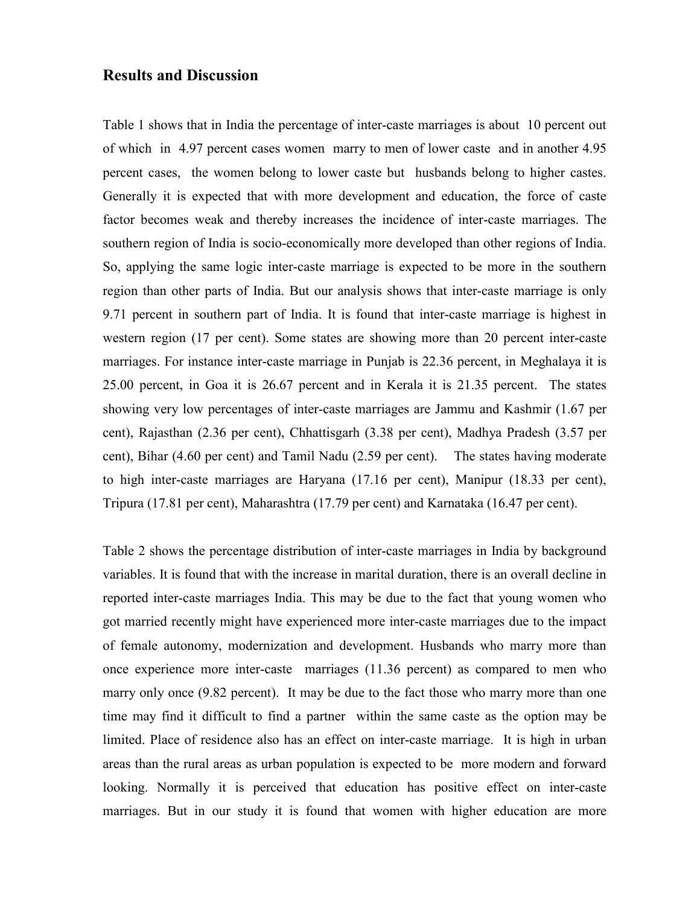### **Results and Discussion**

Table 1 shows that in India the percentage of inter-caste marriages is about 10 percent out of which in 4.97 percent cases women marry to men of lower caste and in another 4.95 percent cases, the women belong to lower caste but husbands belong to higher castes. Generally it is expected that with more development and education, the force of caste factor becomes weak and thereby increases the incidence of inter-caste marriages. The southern region of India is socio-economically more developed than other regions of India. So, applying the same logic inter-caste marriage is expected to be more in the southern region than other parts of India. But our analysis shows that inter-caste marriage is only 9.71 percent in southern part of India. It is found that inter-caste marriage is highest in western region (17 per cent). Some states are showing more than 20 percent inter-caste marriages. For instance inter-caste marriage in Punjab is 22.36 percent, in Meghalaya it is 25.00 percent, in Goa it is 26.67 percent and in Kerala it is 21.35 percent. The states showing very low percentages of inter-caste marriages are Jammu and Kashmir (1.67 per cent), Rajasthan (2.36 per cent), Chhattisgarh (3.38 per cent), Madhya Pradesh (3.57 per cent), Bihar (4.60 per cent) and Tamil Nadu (2.59 per cent). The states having moderate to high inter-caste marriages are Haryana (17.16 per cent), Manipur (18.33 per cent), Tripura (17.81 per cent), Maharashtra (17.79 per cent) and Karnataka (16.47 per cent).

Table 2 shows the percentage distribution of inter-caste marriages in India by background variables. It is found that with the increase in marital duration, there is an overall decline in reported inter-caste marriages India. This may be due to the fact that young women who got married recently might have experienced more inter-caste marriages due to the impact of female autonomy, modernization and development. Husbands who marry more than once experience more inter-caste marriages (11.36 percent) as compared to men who marry only once (9.82 percent). It may be due to the fact those who marry more than one time may find it difficult to find a partner within the same caste as the option may be limited. Place of residence also has an effect on inter-caste marriage. It is high in urban areas than the rural areas as urban population is expected to be more modern and forward looking. Normally it is perceived that education has positive effect on inter-caste marriages. But in our study it is found that women with higher education are more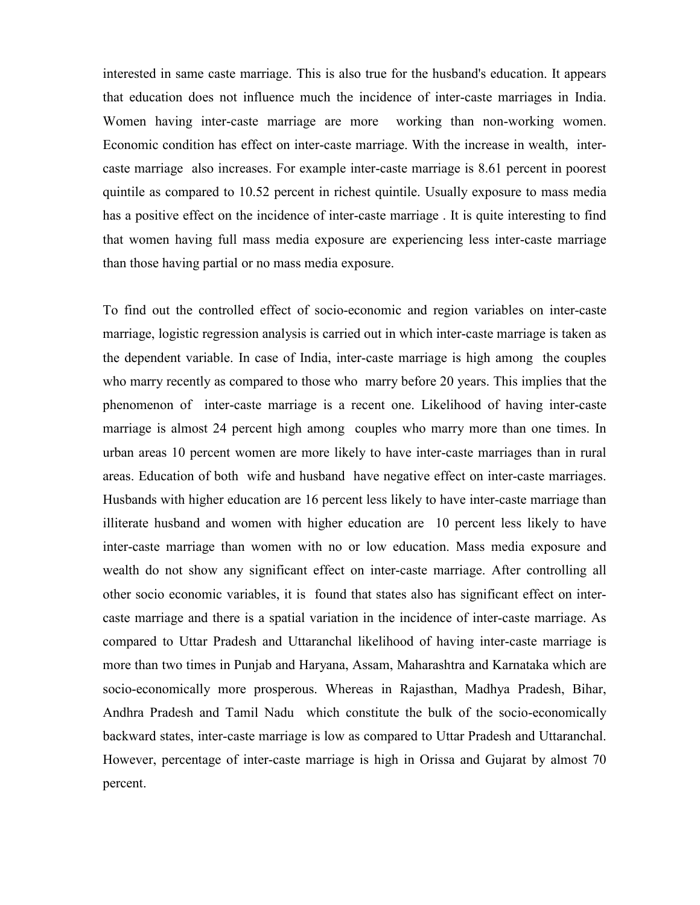interested in same caste marriage. This is also true for the husband's education. It appears that education does not influence much the incidence of inter-caste marriages in India. Women having inter-caste marriage are more working than non-working women. Economic condition has effect on inter-caste marriage. With the increase in wealth, intercaste marriage also increases. For example inter-caste marriage is 8.61 percent in poorest quintile as compared to 10.52 percent in richest quintile. Usually exposure to mass media has a positive effect on the incidence of inter-caste marriage . It is quite interesting to find that women having full mass media exposure are experiencing less inter-caste marriage than those having partial or no mass media exposure.

To find out the controlled effect of socio-economic and region variables on inter-caste marriage, logistic regression analysis is carried out in which inter-caste marriage is taken as the dependent variable. In case of India, inter-caste marriage is high among the couples who marry recently as compared to those who marry before 20 years. This implies that the phenomenon of inter-caste marriage is a recent one. Likelihood of having inter-caste marriage is almost 24 percent high among couples who marry more than one times. In urban areas 10 percent women are more likely to have inter-caste marriages than in rural areas. Education of both wife and husband have negative effect on inter-caste marriages. Husbands with higher education are 16 percent less likely to have inter-caste marriage than illiterate husband and women with higher education are 10 percent less likely to have inter-caste marriage than women with no or low education. Mass media exposure and wealth do not show any significant effect on inter-caste marriage. After controlling all other socio economic variables, it is found that states also has significant effect on intercaste marriage and there is a spatial variation in the incidence of inter-caste marriage. As compared to Uttar Pradesh and Uttaranchal likelihood of having inter-caste marriage is more than two times in Punjab and Haryana, Assam, Maharashtra and Karnataka which are socio-economically more prosperous. Whereas in Rajasthan, Madhya Pradesh, Bihar, Andhra Pradesh and Tamil Nadu which constitute the bulk of the socio-economically backward states, inter-caste marriage is low as compared to Uttar Pradesh and Uttaranchal. However, percentage of inter-caste marriage is high in Orissa and Gujarat by almost 70 percent.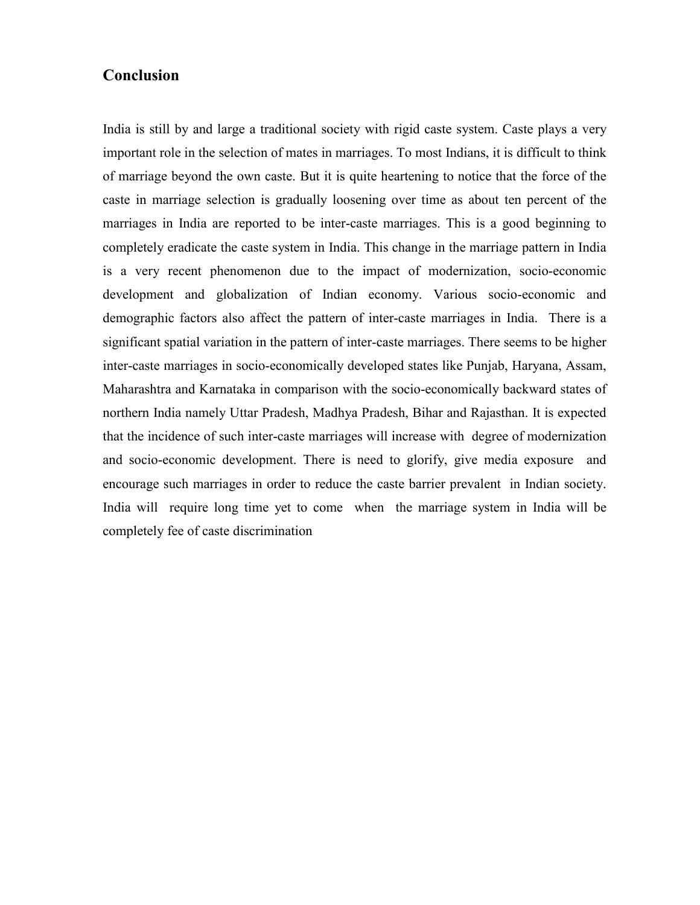# **Conclusion**

India is still by and large a traditional society with rigid caste system. Caste plays a very important role in the selection of mates in marriages. To most Indians, it is difficult to think of marriage beyond the own caste. But it is quite heartening to notice that the force of the caste in marriage selection is gradually loosening over time as about ten percent of the marriages in India are reported to be inter-caste marriages. This is a good beginning to completely eradicate the caste system in India. This change in the marriage pattern in India is a very recent phenomenon due to the impact of modernization, socio-economic development and globalization of Indian economy. Various socio-economic and demographic factors also affect the pattern of inter-caste marriages in India. There is a significant spatial variation in the pattern of inter-caste marriages. There seems to be higher inter-caste marriages in socio-economically developed states like Punjab, Haryana, Assam, Maharashtra and Karnataka in comparison with the socio-economically backward states of northern India namely Uttar Pradesh, Madhya Pradesh, Bihar and Rajasthan. It is expected that the incidence of such inter-caste marriages will increase with degree of modernization and socio-economic development. There is need to glorify, give media exposure and encourage such marriages in order to reduce the caste barrier prevalent in Indian society. India will require long time yet to come when the marriage system in India will be completely fee of caste discrimination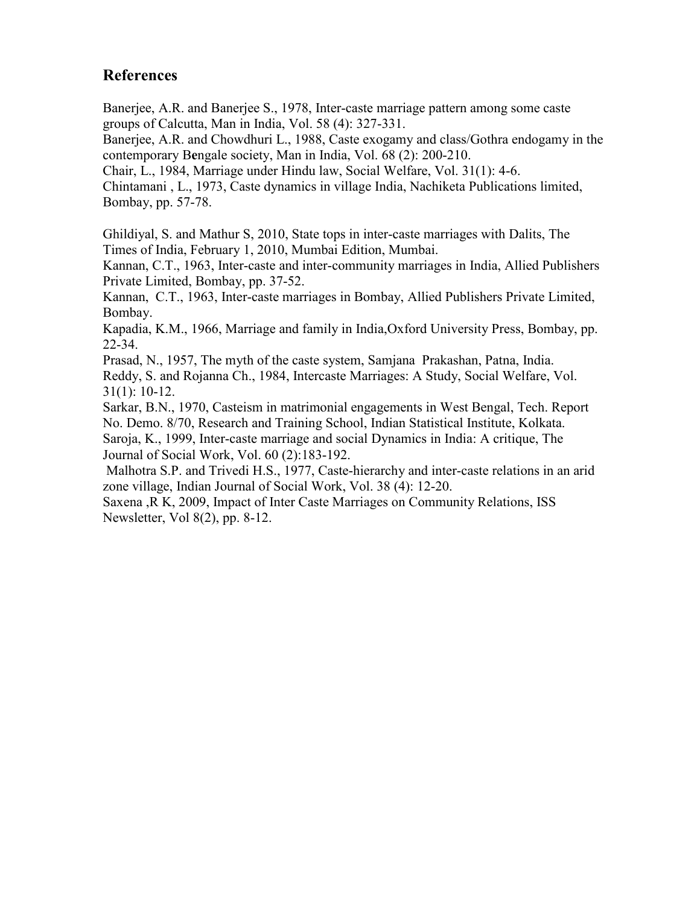# **References**

Banerjee, A.R. and Banerjee S., 1978, Inter-caste marriage pattern among some caste groups of Calcutta, Man in India, Vol. 58 (4): 327-331.

Banerjee, A.R. and Chowdhuri L., 1988, Caste exogamy and class/Gothra endogamy in the contemporary B**e**ngale society, Man in India, Vol. 68 (2): 200-210.

Chair, L., 1984, Marriage under Hindu law, Social Welfare, Vol. 31(1): 4-6.

Chintamani , L., 1973, Caste dynamics in village India, Nachiketa Publications limited, Bombay, pp. 57-78.

Ghildiyal, S. and Mathur S, 2010, State tops in inter-caste marriages with Dalits, The Times of India, February 1, 2010, Mumbai Edition, Mumbai.

Kannan, C.T., 1963, Inter-caste and inter-community marriages in India, Allied Publishers Private Limited, Bombay, pp. 37-52.

Kannan, C.T., 1963, Inter-caste marriages in Bombay, Allied Publishers Private Limited, Bombay.

Kapadia, K.M., 1966, Marriage and family in India,Oxford University Press, Bombay, pp. 22-34.

Prasad, N., 1957, The myth of the caste system, Samjana Prakashan, Patna, India.

Reddy, S. and Rojanna Ch., 1984, Intercaste Marriages: A Study, Social Welfare, Vol. 31(1): 10-12.

Sarkar, B.N., 1970, Casteism in matrimonial engagements in West Bengal, Tech. Report No. Demo. 8/70, Research and Training School, Indian Statistical Institute, Kolkata. Saroja, K., 1999, Inter-caste marriage and social Dynamics in India: A critique, The Journal of Social Work, Vol. 60 (2):183-192.

 Malhotra S.P. and Trivedi H.S., 1977, Caste-hierarchy and inter-caste relations in an arid zone village, Indian Journal of Social Work, Vol. 38 (4): 12-20.

Saxena ,R K, 2009, Impact of Inter Caste Marriages on Community Relations, ISS Newsletter, Vol 8(2), pp. 8-12.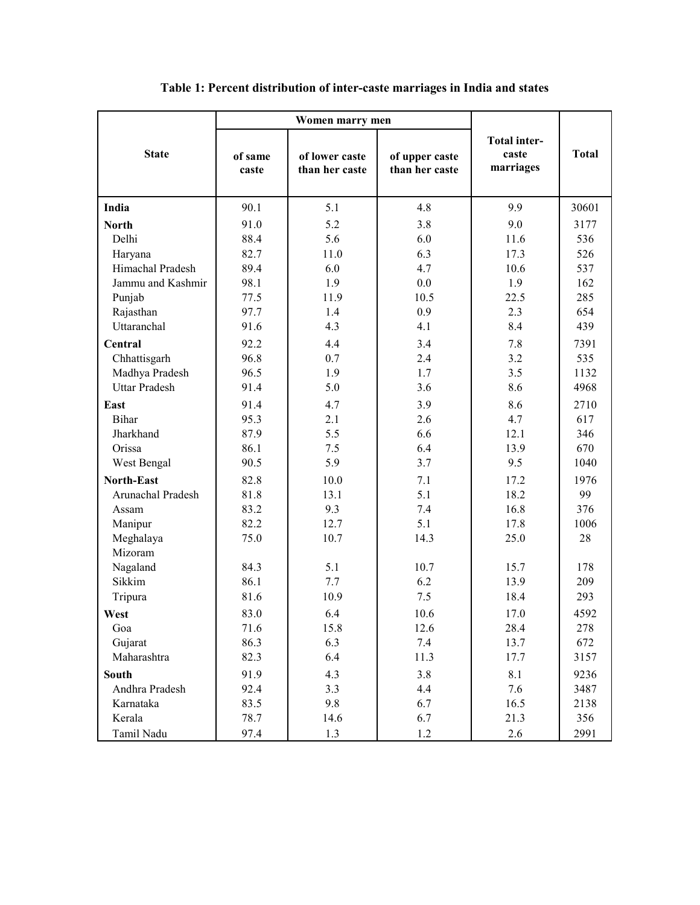|                      | Women marry men  |                                  |                                  |                                           |              |
|----------------------|------------------|----------------------------------|----------------------------------|-------------------------------------------|--------------|
| <b>State</b>         | of same<br>caste | of lower caste<br>than her caste | of upper caste<br>than her caste | <b>Total inter-</b><br>caste<br>marriages | <b>Total</b> |
| India                | 90.1             | 5.1                              | 4.8                              | 9.9                                       | 30601        |
| <b>North</b>         | 91.0             | 5.2                              | 3.8                              | 9.0                                       | 3177         |
| Delhi                | 88.4             | 5.6                              | 6.0                              | 11.6                                      | 536          |
| Haryana              | 82.7             | 11.0                             | 6.3                              | 17.3                                      | 526          |
| Himachal Pradesh     | 89.4             | 6.0                              | 4.7                              | 10.6                                      | 537          |
| Jammu and Kashmir    | 98.1             | 1.9                              | 0.0                              | 1.9                                       | 162          |
| Punjab               | 77.5             | 11.9                             | 10.5                             | 22.5                                      | 285          |
| Rajasthan            | 97.7             | 1.4                              | 0.9                              | 2.3                                       | 654          |
| Uttaranchal          | 91.6             | 4.3                              | 4.1                              | 8.4                                       | 439          |
| Central              | 92.2             | 4.4                              | 3.4                              | 7.8                                       | 7391         |
| Chhattisgarh         | 96.8             | 0.7                              | 2.4                              | 3.2                                       | 535          |
| Madhya Pradesh       | 96.5             | 1.9                              | 1.7                              | 3.5                                       | 1132         |
| <b>Uttar Pradesh</b> | 91.4             | 5.0                              | 3.6                              | 8.6                                       | 4968         |
| East                 | 91.4             | 4.7                              | 3.9                              | 8.6                                       | 2710         |
| <b>Bihar</b>         | 95.3             | 2.1                              | 2.6                              | 4.7                                       | 617          |
| Jharkhand            | 87.9             | 5.5                              | 6.6                              | 12.1                                      | 346          |
| Orissa               | 86.1             | 7.5                              | 6.4                              | 13.9                                      | 670          |
| West Bengal          | 90.5             | 5.9                              | 3.7                              | 9.5                                       | 1040         |
| <b>North-East</b>    | 82.8             | 10.0                             | 7.1                              | 17.2                                      | 1976         |
| Arunachal Pradesh    | 81.8             | 13.1                             | 5.1                              | 18.2                                      | 99           |
| Assam                | 83.2             | 9.3                              | 7.4                              | 16.8                                      | 376          |
| Manipur              | 82.2             | 12.7                             | 5.1                              | 17.8                                      | 1006         |
| Meghalaya            | 75.0             | 10.7                             | 14.3                             | 25.0                                      | 28           |
| Mizoram              |                  |                                  |                                  |                                           |              |
| Nagaland             | 84.3             | 5.1                              | 10.7                             | 15.7                                      | 178          |
| Sikkim               | 86.1             | 7.7                              | 6.2                              | 13.9                                      | 209          |
| Tripura              | 81.6             | 10.9                             | 7.5                              | 18.4                                      | 293          |
| West                 | 83.0             | 6.4                              | 10.6                             | 17.0                                      | 4592         |
| Goa                  | 71.6             | 15.8                             | 12.6                             | 28.4                                      | 278          |
| Gujarat              | 86.3             | 6.3                              | 7.4                              | 13.7                                      | 672          |
| Maharashtra          | 82.3             | 6.4                              | 11.3                             | 17.7                                      | 3157         |
| <b>South</b>         | 91.9             | 4.3                              | 3.8                              | 8.1                                       | 9236         |
| Andhra Pradesh       | 92.4             | 3.3                              | 4.4                              | 7.6                                       | 3487         |
| Karnataka            | 83.5             | 9.8                              | 6.7                              | 16.5                                      | 2138         |
| Kerala               | 78.7             | 14.6                             | 6.7                              | 21.3                                      | 356          |
| Tamil Nadu           | 97.4             | 1.3                              | 1.2                              | 2.6                                       | 2991         |

## **Table 1: Percent distribution of inter-caste marriages in India and states**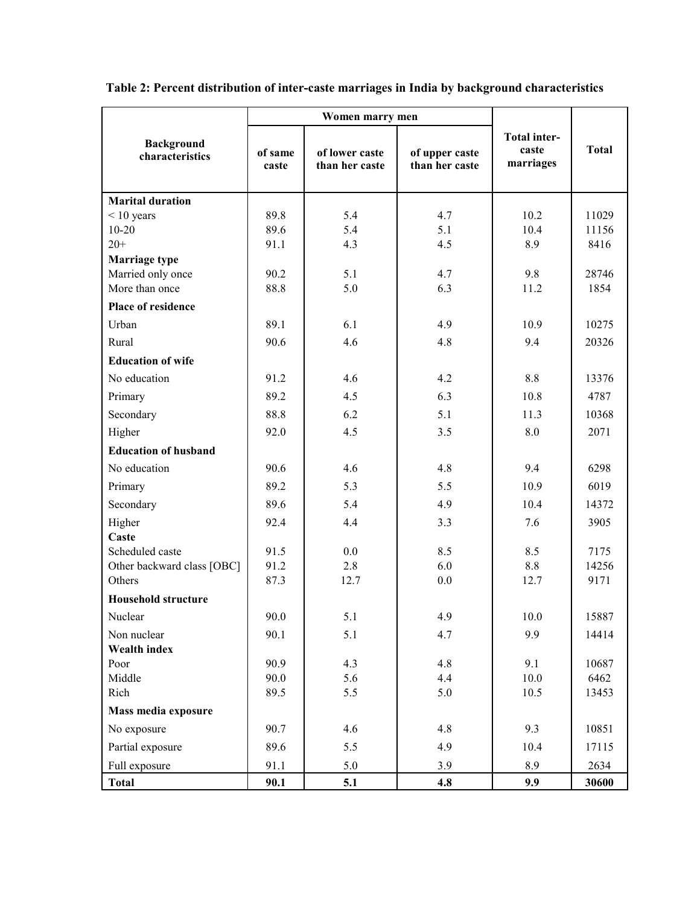|                                           | Women marry men  |                                  |                                  |                                           |               |
|-------------------------------------------|------------------|----------------------------------|----------------------------------|-------------------------------------------|---------------|
| <b>Background</b><br>characteristics      | of same<br>caste | of lower caste<br>than her caste | of upper caste<br>than her caste | <b>Total inter-</b><br>caste<br>marriages | <b>Total</b>  |
| <b>Marital duration</b>                   |                  |                                  |                                  |                                           |               |
| $< 10$ years                              | 89.8             | 5.4                              | 4.7                              | 10.2                                      | 11029         |
| $10 - 20$                                 | 89.6             | 5.4                              | 5.1                              | 10.4                                      | 11156         |
| $20+$                                     | 91.1             | 4.3                              | 4.5                              | 8.9                                       | 8416          |
| <b>Marriage type</b><br>Married only once | 90.2             | 5.1                              | 4.7                              | 9.8                                       | 28746         |
| More than once                            | 88.8             | 5.0                              | 6.3                              | 11.2                                      | 1854          |
| Place of residence                        |                  |                                  |                                  |                                           |               |
| Urban                                     | 89.1             | 6.1                              | 4.9                              | 10.9                                      | 10275         |
| Rural                                     | 90.6             | 4.6                              | 4.8                              | 9.4                                       | 20326         |
| <b>Education of wife</b>                  |                  |                                  |                                  |                                           |               |
| No education                              | 91.2             | 4.6                              | 4.2                              | 8.8                                       | 13376         |
| Primary                                   | 89.2             | 4.5                              | 6.3                              | 10.8                                      | 4787          |
| Secondary                                 | 88.8             | 6.2                              | 5.1                              | 11.3                                      | 10368         |
| Higher                                    | 92.0             | 4.5                              | 3.5                              | 8.0                                       | 2071          |
| <b>Education of husband</b>               |                  |                                  |                                  |                                           |               |
| No education                              | 90.6             | 4.6                              | 4.8                              | 9.4                                       | 6298          |
| Primary                                   | 89.2             | 5.3                              | 5.5                              | 10.9                                      | 6019          |
| Secondary                                 | 89.6             | 5.4                              | 4.9                              | 10.4                                      | 14372         |
| Higher                                    | 92.4             | 4.4                              | 3.3                              | 7.6                                       | 3905          |
| Caste                                     |                  |                                  |                                  |                                           |               |
| Scheduled caste                           | 91.5             | 0.0                              | 8.5                              | 8.5                                       | 7175          |
| Other backward class [OBC]<br>Others      | 91.2<br>87.3     | 2.8<br>12.7                      | 6.0<br>0.0                       | 8.8<br>12.7                               | 14256<br>9171 |
| <b>Household structure</b>                |                  |                                  |                                  |                                           |               |
| Nuclear                                   |                  | 5.1                              | 4.9                              |                                           | 15887         |
|                                           | 90.0             |                                  |                                  | 10.0                                      |               |
| Non nuclear<br>Wealth index               | 90.1             | 5.1                              | 4.7                              | 9.9                                       | 14414         |
| Poor                                      | 90.9             | 4.3                              | 4.8                              | 9.1                                       | 10687         |
| Middle                                    | 90.0             | 5.6                              | 4.4                              | 10.0                                      | 6462          |
| Rich                                      | 89.5             | 5.5                              | 5.0                              | 10.5                                      | 13453         |
| Mass media exposure                       |                  |                                  |                                  |                                           |               |
| No exposure                               | 90.7             | 4.6                              | 4.8                              | 9.3                                       | 10851         |
| Partial exposure                          | 89.6             | 5.5                              | 4.9                              | 10.4                                      | 17115         |
| Full exposure                             | 91.1             | 5.0                              | 3.9                              | 8.9                                       | 2634          |
| <b>Total</b>                              | 90.1             | 5.1                              | 4.8                              | 9.9                                       | 30600         |

**Table 2: Percent distribution of inter-caste marriages in India by background characteristics**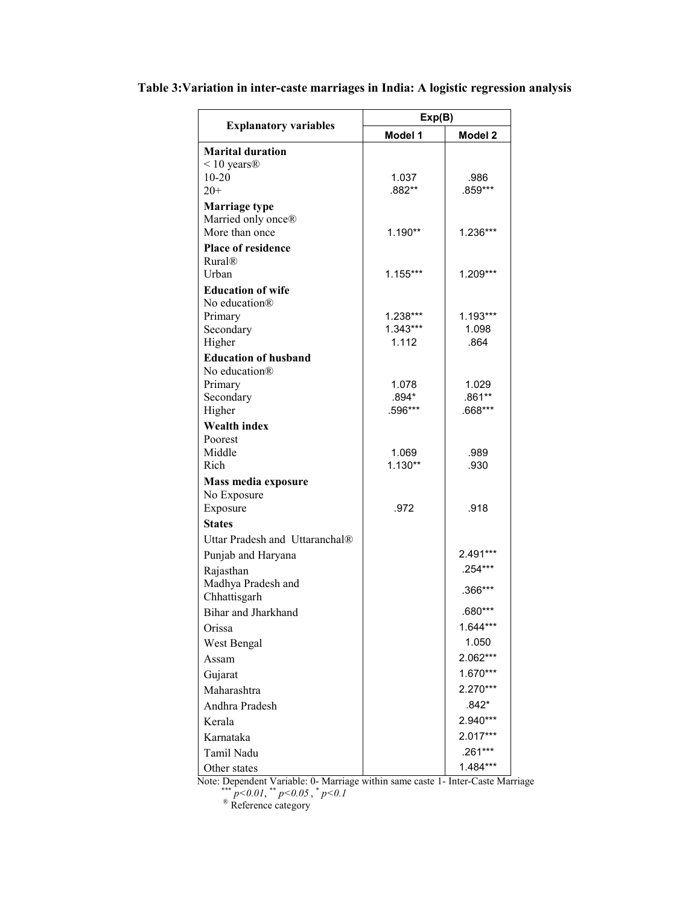|                                      | Exp(B)           |                   |  |
|--------------------------------------|------------------|-------------------|--|
| <b>Explanatory variables</b>         | Model 1          | Model 2           |  |
| <b>Marital duration</b>              |                  |                   |  |
| $< 10$ years $\circledR$             |                  |                   |  |
| $10 - 20$                            | 1.037            | .986              |  |
| $20+$                                | .882**           | .859***           |  |
| <b>Marriage type</b>                 |                  |                   |  |
| Married only once®<br>More than once | 1.190**          | $1.236***$        |  |
| <b>Place of residence</b>            |                  |                   |  |
| Rural <sub>®</sub>                   |                  |                   |  |
| <b>Urban</b>                         | $1.155***$       | $1.209***$        |  |
| <b>Education of wife</b>             |                  |                   |  |
| No education <sup>®</sup>            |                  |                   |  |
| Primary                              | 1.238***         | 1.193***          |  |
| Secondary                            | $1.343***$       | 1.098             |  |
| Higher                               | 1.112            | .864              |  |
| <b>Education of husband</b>          |                  |                   |  |
| No education®                        |                  |                   |  |
| Primary<br>Secondary                 | 1.078<br>$.894*$ | 1.029<br>$.861**$ |  |
| Higher                               | .596***          | .668***           |  |
| <b>Wealth index</b>                  |                  |                   |  |
| Poorest                              |                  |                   |  |
| Middle                               | 1.069            | .989              |  |
| Rich                                 | $1.130**$        | .930              |  |
| Mass media exposure                  |                  |                   |  |
| No Exposure                          |                  |                   |  |
| Exposure                             | .972             | .918              |  |
| <b>States</b>                        |                  |                   |  |
| Uttar Pradesh and Uttaranchal®       |                  |                   |  |
| Punjab and Haryana                   |                  | 2.491***          |  |
| Rajasthan                            |                  | .254***           |  |
| Madhya Pradesh and<br>Chhattisgarh   |                  | .366***           |  |
| Bihar and Jharkhand                  |                  | $.680***$         |  |
| Orissa                               |                  | 1.644***          |  |
| West Bengal                          |                  | 1.050             |  |
| Assam                                |                  | 2.062***          |  |
| Gujarat                              |                  | 1.670***          |  |
| Maharashtra                          |                  | 2.270***          |  |
| Andhra Pradesh                       |                  | $.842*$           |  |
| Kerala                               |                  | 2.940***          |  |
| Karnataka                            |                  | 2.017***          |  |
| Tamil Nadu                           |                  | .261***           |  |
| Other states                         |                  | $1.484***$        |  |

#### **Table 3:Variation in inter-caste marriages in India: A logistic regression analysis**

Note: Dependent Variable: 0- Marriage within same caste 1- Inter-Caste Marriage \*\*\*  $p<0.01$ , \*\*  $p<0.05$ , \*  $p<0.1$ 

<sup>®</sup> Reference category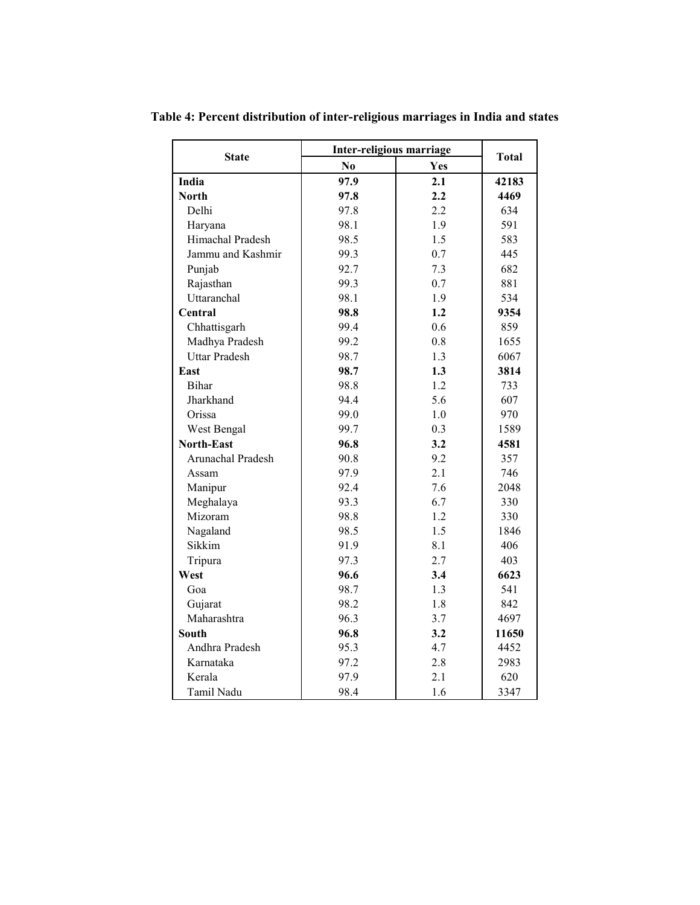**State Inter-religious marriage** Total **Total Total No Yes India 97.9 2.1 42183 North 97.8 2.2 4469**  Delhi 97.8 2.2 634 Haryana 1.9 98.1 1.9 591 Himachal Pradesh 98.5 1.5 583 Jammu and Kashmir 1 99.3 1 0.7 1 445 Punjab 192.7 1 7.3 682 Rajasthan 199.3 0.7 881 Uttaranchal 98.1 1.9 534 **Central 98.8 1.2 9354**  Chhattisgarh 99.4 0.6 859 Madhya Pradesh 99.2 0.8 1655 Uttar Pradesh 1.3 6067 **East 98.7 1.3 3814**  Bihar 1.2 733 Jharkhand 94.4 5.6 607 Orissa 199.0 1.0 970 West Bengal 99.7 0.3 1589 **North-East 96.8 3.2 4581**  Arunachal Pradesh 90.8 9.2 357 Assam 197.9 2.1 746 Manipur 92.4 7.6 2048 Meghalaya 193.3 6.7 330 Mizoram 198.8 1.2 330 Nagaland 98.5 1.5 1846 Sikkim 191.9 8.1 406 Tripura 97.3 2.7 403 **West 96.6 3.4 6623**  Goa 1.3 541 Gujarat 1.8 842 Maharashtra 196.3 3.7 4697 **South** 96.8 3.2 11650 Andhra Pradesh 95.3 4.7 4452 Karnataka 197.2 2.8 2983 Kerala 197.9 2.1 620 Tamil Nadu 98.4 1.6 3347

**Table 4: Percent distribution of inter-religious marriages in India and states**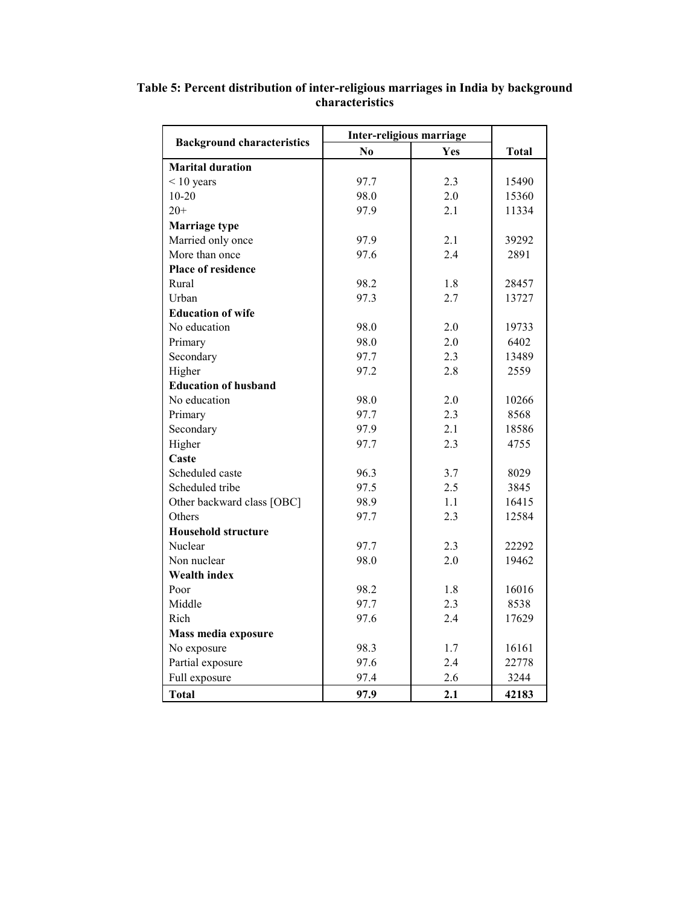|                                   | Inter-religious marriage |     |              |  |
|-----------------------------------|--------------------------|-----|--------------|--|
| <b>Background characteristics</b> | N <sub>0</sub>           | Yes | <b>Total</b> |  |
| <b>Marital duration</b>           |                          |     |              |  |
| $< 10$ years                      | 97.7                     | 2.3 | 15490        |  |
| $10 - 20$                         | 98.0                     | 2.0 | 15360        |  |
| $20+$                             | 97.9                     | 2.1 | 11334        |  |
| Marriage type                     |                          |     |              |  |
| Married only once                 | 97.9                     | 2.1 | 39292        |  |
| More than once                    | 97.6                     | 2.4 | 2891         |  |
| <b>Place of residence</b>         |                          |     |              |  |
| Rural                             | 98.2                     | 1.8 | 28457        |  |
| Urban                             | 97.3                     | 2.7 | 13727        |  |
| <b>Education of wife</b>          |                          |     |              |  |
| No education                      | 98.0                     | 2.0 | 19733        |  |
| Primary                           | 98.0                     | 2.0 | 6402         |  |
| Secondary                         | 97.7                     | 2.3 | 13489        |  |
| Higher                            | 97.2                     | 2.8 | 2559         |  |
| <b>Education of husband</b>       |                          |     |              |  |
| No education                      | 98.0                     | 2.0 | 10266        |  |
| Primary                           | 97.7                     | 2.3 | 8568         |  |
| Secondary                         | 97.9                     | 2.1 | 18586        |  |
| Higher                            | 97.7                     | 2.3 | 4755         |  |
| Caste                             |                          |     |              |  |
| Scheduled caste                   | 96.3                     | 3.7 | 8029         |  |
| Scheduled tribe                   | 97.5                     | 2.5 | 3845         |  |
| Other backward class [OBC]        | 98.9                     | 1.1 | 16415        |  |
| Others                            | 97.7                     | 2.3 | 12584        |  |
| <b>Household structure</b>        |                          |     |              |  |
| Nuclear                           | 97.7                     | 2.3 | 22292        |  |
| Non nuclear                       | 98.0                     | 2.0 | 19462        |  |
| <b>Wealth index</b>               |                          |     |              |  |
| Poor                              | 98.2                     | 1.8 | 16016        |  |
| Middle                            | 97.7                     | 2.3 | 8538         |  |
| Rich                              | 97.6                     | 2.4 | 17629        |  |
| Mass media exposure               |                          |     |              |  |
| No exposure                       | 98.3                     | 1.7 | 16161        |  |
| Partial exposure                  | 97.6                     | 2.4 | 22778        |  |
| Full exposure                     | 97.4                     | 2.6 | 3244         |  |
| <b>Total</b>                      | 97.9                     | 2.1 | 42183        |  |

**Table 5: Percent distribution of inter-religious marriages in India by background characteristics**